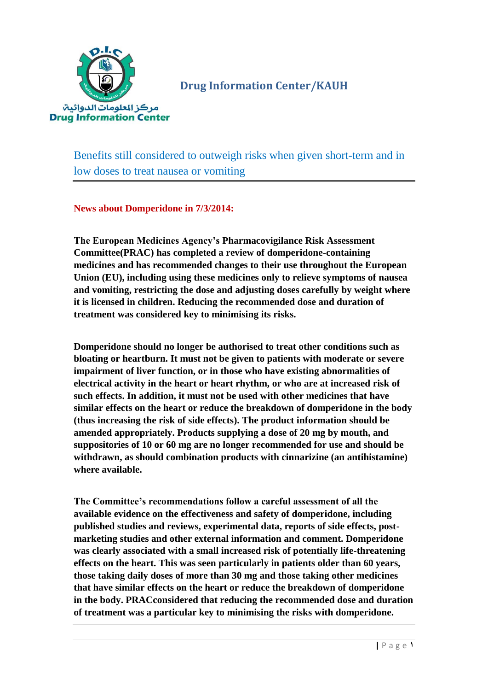

**Drug Information Center/KAUH**

Benefits still considered to outweigh risks when given short-term and in low doses to treat nausea or vomiting

**News about Domperidone in 7/3/2014:**

**The European Medicines Agency's Pharmacovigilance Risk Assessment Committee(PRAC) has completed a review of domperidone-containing medicines and has recommended changes to their use throughout the European Union (EU), including using these medicines only to relieve symptoms of nausea and vomiting, restricting the dose and adjusting doses carefully by weight where it is licensed in children. Reducing the recommended dose and duration of treatment was considered key to minimising its risks.**

**Domperidone should no longer be authorised to treat other conditions such as bloating or heartburn. It must not be given to patients with moderate or severe impairment of liver function, or in those who have existing abnormalities of electrical activity in the heart or heart rhythm, or who are at increased risk of such effects. In addition, it must not be used with other medicines that have similar effects on the heart or reduce the breakdown of domperidone in the body (thus increasing the risk of side effects). The product information should be amended appropriately. Products supplying a dose of 20 mg by mouth, and suppositories of 10 or 60 mg are no longer recommended for use and should be withdrawn, as should combination products with cinnarizine (an antihistamine) where available.**

**The Committee's recommendations follow a careful assessment of all the available evidence on the effectiveness and safety of domperidone, including published studies and reviews, experimental data, reports of side effects, postmarketing studies and other external information and comment. Domperidone was clearly associated with a small increased risk of potentially life-threatening effects on the heart. This was seen particularly in patients older than 60 years, those taking daily doses of more than 30 mg and those taking other medicines that have similar effects on the heart or reduce the breakdown of domperidone in the body. PRACconsidered that reducing the recommended dose and duration of treatment was a particular key to minimising the risks with domperidone.**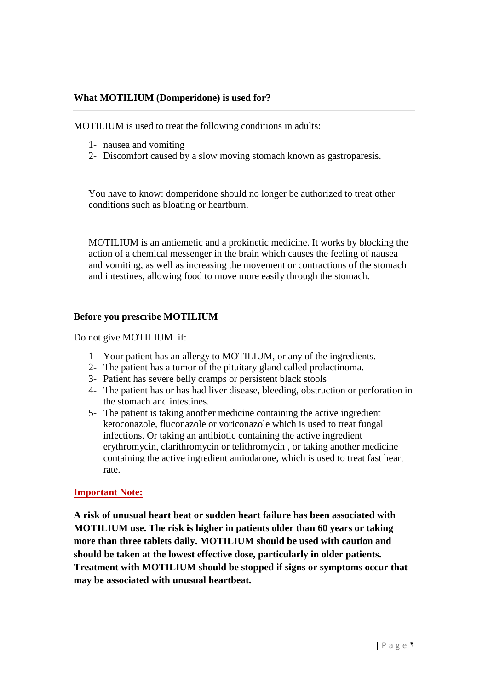# **What MOTILIUM (Domperidone) is used for?**

MOTILIUM is used to treat the following conditions in adults:

- 1- nausea and vomiting
- 2- Discomfort caused by a slow moving stomach known as gastroparesis.

You have to know: domperidone should no longer be authorized to treat other conditions such as bloating or heartburn.

MOTILIUM is an antiemetic and a prokinetic medicine. It works by blocking the action of a chemical messenger in the brain which causes the feeling of nausea and vomiting, as well as increasing the movement or contractions of the stomach and intestines, allowing food to move more easily through the stomach.

## **Before you prescribe MOTILIUM**

Do not give MOTILIUM if:

- 1- Your patient has an allergy to MOTILIUM, or any of the ingredients.
- 2- The patient has a tumor of the pituitary gland called prolactinoma.
- 3- Patient has severe belly cramps or persistent black stools
- 4- The patient has or has had liver disease, bleeding, obstruction or perforation in the stomach and intestines.
- 5- The patient is taking another medicine containing the active ingredient ketoconazole, fluconazole or voriconazole which is used to treat fungal infections. Or taking an antibiotic containing the active ingredient erythromycin, clarithromycin or telithromycin , or taking another medicine containing the active ingredient amiodarone, which is used to treat fast heart rate.

## **Important Note:**

**A risk of unusual heart beat or sudden heart failure has been associated with MOTILIUM use. The risk is higher in patients older than 60 years or taking more than three tablets daily. MOTILIUM should be used with caution and should be taken at the lowest effective dose, particularly in older patients. Treatment with MOTILIUM should be stopped if signs or symptoms occur that may be associated with unusual heartbeat.**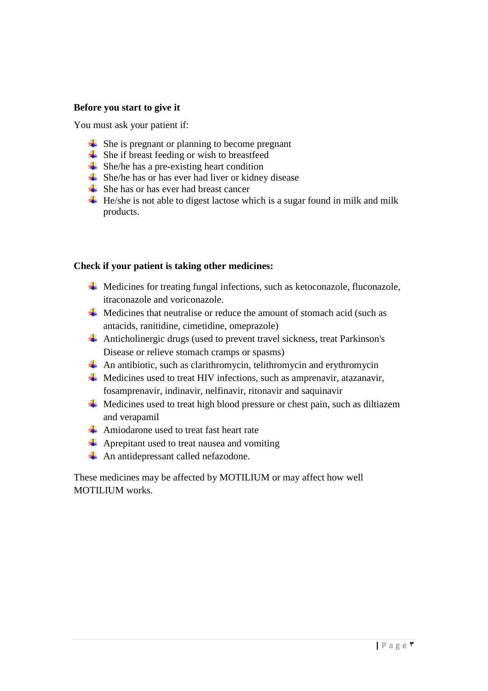#### **Before you start to give it**

You must ask your patient if:

- $\overline{\phantom{a}}$  She is pregnant or planning to become pregnant
- $\overline{\phantom{a}}$  She if breast feeding or wish to breastfeed
- $\div$  She/he has a pre-existing heart condition
- $\overline{\phantom{a}}$  She/he has or has ever had liver or kidney disease
- $\triangle$  She has or has ever had breast cancer
- $\overline{\textbf{H}}$  He/she is not able to digest lactose which is a sugar found in milk and milk products.

#### **Check if your patient is taking other medicines:**

- $\overline{\text{4}}$  Medicines for treating fungal infections, such as ketoconazole, fluconazole, itraconazole and voriconazole.
- $\overline{\text{4}}$  Medicines that neutralise or reduce the amount of stomach acid (such as antacids, ranitidine, cimetidine, omeprazole)
- $\overline{\text{4}}$  Anticholinergic drugs (used to prevent travel sickness, treat Parkinson's Disease or relieve stomach cramps or spasms)
- $\overline{\text{A}}$  An antibiotic, such as clarithromycin, telithromycin and erythromycin
- $\overline{\phantom{a}}$  Medicines used to treat HIV infections, such as amprenavir, atazanavir, fosamprenavir, indinavir, nelfinavir, ritonavir and saquinavir
- $\overline{\text{4}}$  Medicines used to treat high blood pressure or chest pain, such as diltiazem and verapamil
- Amiodarone used to treat fast heart rate
- $\overline{\text{4}}$  Aprepitant used to treat nausea and vomiting
- An antidepressant called nefazodone.

These medicines may be affected by MOTILIUM or may affect how well MOTILIUM works.